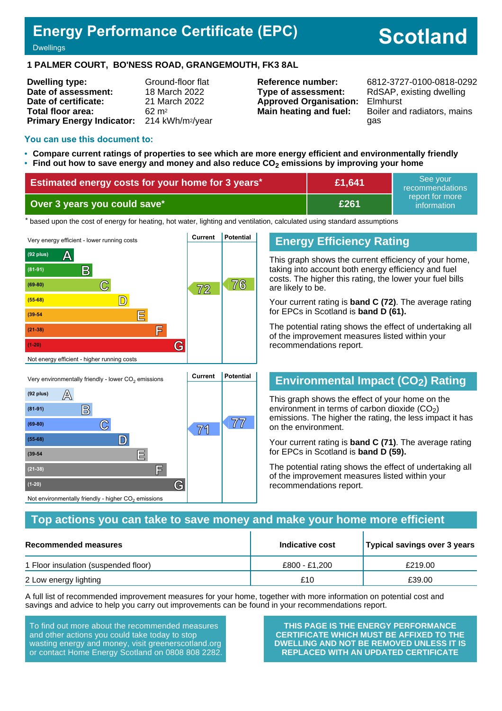# **Energy Performance Certificate (EPC)**

# **Scotland**

#### **Dwellings**

#### **1 PALMER COURT, BO'NESS ROAD, GRANGEMOUTH, FK3 8AL**

| <b>Dwelling type:</b>            | Ground-floor flat            |
|----------------------------------|------------------------------|
| Date of assessment:              | 18 March 2022                |
| Date of certificate:             | 21 March 2022                |
| Total floor area:                | $62 \text{ m}^2$             |
| <b>Primary Energy Indicator:</b> | 214 kWh/m <sup>2</sup> /year |

**Type of assessment:** RdSAP, existing dwelling **Approved Organisation:** Elmhurst

**Reference number:** 6812-3727-0100-0818-0292 **Main heating and fuel:** Boiler and radiators, mains gas

#### **You can use this document to:**

**(55-68) D**

**(39-54 E**

**(21-38) F**

Not environmentally friendly - higher  $\mathrm{CO}_2$  emissions

**(1-20) G**

- **Compare current ratings of properties to see which are more energy efficient and environmentally friendly**
- **Find out how to save energy and money and also reduce CO2 emissions by improving your home**

| Estimated energy costs for your home for 3 years* | £1,641 | See vour<br>recommendations    |
|---------------------------------------------------|--------|--------------------------------|
| Over 3 years you could save*                      | £261   | report for more<br>information |

the based upon the cost of energy for heating, hot water, lighting and ventilation, calculated using standard assumptions



#### **Energy Efficiency Rating**

This graph shows the current efficiency of your home, taking into account both energy efficiency and fuel costs. The higher this rating, the lower your fuel bills are likely to be.

Your current rating is **band C (72)**. The average rating for EPCs in Scotland is **band D (61).**

The potential rating shows the effect of undertaking all of the improvement measures listed within your recommendations report.

#### **Environmental Impact (CO2) Rating**

This graph shows the effect of your home on the environment in terms of carbon dioxide  $(CO<sub>2</sub>)$ emissions. The higher the rating, the less impact it has on the environment.

Your current rating is **band C (71)**. The average rating for EPCs in Scotland is **band D (59).**

The potential rating shows the effect of undertaking all of the improvement measures listed within your recommendations report.

#### **Top actions you can take to save money and make your home more efficient**

| Recommended measures                 | Indicative cost | Typical savings over 3 years |
|--------------------------------------|-----------------|------------------------------|
| 1 Floor insulation (suspended floor) | £800 - £1.200   | £219.00                      |
| 2 Low energy lighting                | £10             | £39.00                       |

A full list of recommended improvement measures for your home, together with more information on potential cost and savings and advice to help you carry out improvements can be found in your recommendations report.

To find out more about the recommended measures and other actions you could take today to stop wasting energy and money, visit greenerscotland.org or contact Home Energy Scotland on 0808 808 2282.

**THIS PAGE IS THE ENERGY PERFORMANCE CERTIFICATE WHICH MUST BE AFFIXED TO THE DWELLING AND NOT BE REMOVED UNLESS IT IS REPLACED WITH AN UPDATED CERTIFICATE**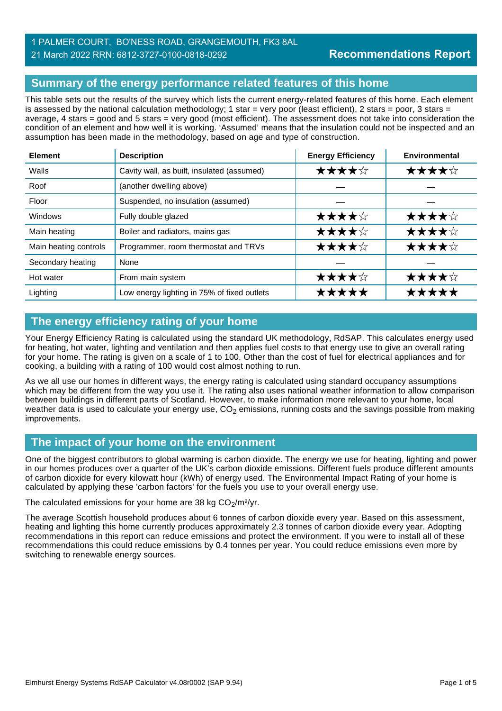## 1 PALMER COURT, BO'NESS ROAD, GRANGEMOUTH, FK3 8AL 21 March 2022 RRN: 6812-3727-0100-0818-0292

# **Summary of the energy performance related features of this home**

This table sets out the results of the survey which lists the current energy-related features of this home. Each element is assessed by the national calculation methodology; 1 star = very poor (least efficient), 2 stars = poor, 3 stars = average, 4 stars = good and 5 stars = very good (most efficient). The assessment does not take into consideration the condition of an element and how well it is working. 'Assumed' means that the insulation could not be inspected and an assumption has been made in the methodology, based on age and type of construction.

| <b>Element</b>        | <b>Description</b>                          | <b>Energy Efficiency</b> | <b>Environmental</b> |  |
|-----------------------|---------------------------------------------|--------------------------|----------------------|--|
| Walls                 | Cavity wall, as built, insulated (assumed)  | ★★★★☆                    | ★★★★☆                |  |
| Roof                  | (another dwelling above)                    |                          |                      |  |
| Floor                 | Suspended, no insulation (assumed)          |                          |                      |  |
| Windows               | Fully double glazed                         | ★★★★☆                    | ★★★★☆                |  |
| Main heating          | Boiler and radiators, mains gas             | ★★★★☆                    | ★★★★☆                |  |
| Main heating controls | Programmer, room thermostat and TRVs        | ★★★★☆                    | ★★★★☆                |  |
| Secondary heating     | None                                        |                          |                      |  |
| Hot water             | From main system                            | ★★★★☆                    | ★★★★☆                |  |
| Lighting              | Low energy lighting in 75% of fixed outlets | *****                    | *****                |  |

# **The energy efficiency rating of your home**

Your Energy Efficiency Rating is calculated using the standard UK methodology, RdSAP. This calculates energy used for heating, hot water, lighting and ventilation and then applies fuel costs to that energy use to give an overall rating for your home. The rating is given on a scale of 1 to 100. Other than the cost of fuel for electrical appliances and for cooking, a building with a rating of 100 would cost almost nothing to run.

As we all use our homes in different ways, the energy rating is calculated using standard occupancy assumptions which may be different from the way you use it. The rating also uses national weather information to allow comparison between buildings in different parts of Scotland. However, to make information more relevant to your home, local weather data is used to calculate your energy use,  $CO<sub>2</sub>$  emissions, running costs and the savings possible from making improvements.

# **The impact of your home on the environment**

One of the biggest contributors to global warming is carbon dioxide. The energy we use for heating, lighting and power in our homes produces over a quarter of the UK's carbon dioxide emissions. Different fuels produce different amounts of carbon dioxide for every kilowatt hour (kWh) of energy used. The Environmental Impact Rating of your home is calculated by applying these 'carbon factors' for the fuels you use to your overall energy use.

The calculated emissions for your home are 38 kg  $CO<sub>2</sub>/m<sup>2</sup>/yr$ .

The average Scottish household produces about 6 tonnes of carbon dioxide every year. Based on this assessment, heating and lighting this home currently produces approximately 2.3 tonnes of carbon dioxide every year. Adopting recommendations in this report can reduce emissions and protect the environment. If you were to install all of these recommendations this could reduce emissions by 0.4 tonnes per year. You could reduce emissions even more by switching to renewable energy sources.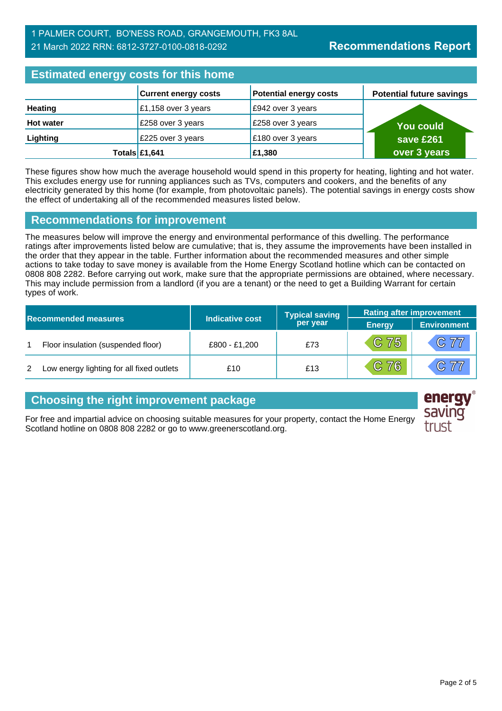# **Estimated energy costs for this home**

|                  | <b>Current energy costs</b> | <b>Potential energy costs</b> | <b>Potential future savings</b> |
|------------------|-----------------------------|-------------------------------|---------------------------------|
| Heating          | £1,158 over 3 years         | £942 over 3 years             |                                 |
| <b>Hot water</b> | £258 over 3 years           | £258 over 3 years             | <b>You could</b>                |
| Lighting         | £225 over 3 years           | £180 over 3 years             | save £261                       |
|                  | Totals $£1,641$             | £1,380                        | over 3 years                    |

These figures show how much the average household would spend in this property for heating, lighting and hot water. This excludes energy use for running appliances such as TVs, computers and cookers, and the benefits of any electricity generated by this home (for example, from photovoltaic panels). The potential savings in energy costs show the effect of undertaking all of the recommended measures listed below.

#### **Recommendations for improvement**

The measures below will improve the energy and environmental performance of this dwelling. The performance ratings after improvements listed below are cumulative; that is, they assume the improvements have been installed in the order that they appear in the table. Further information about the recommended measures and other simple actions to take today to save money is available from the Home Energy Scotland hotline which can be contacted on 0808 808 2282. Before carrying out work, make sure that the appropriate permissions are obtained, where necessary. This may include permission from a landlord (if you are a tenant) or the need to get a Building Warrant for certain types of work.

| <b>Recommended measures</b> |                                           |                        | <b>Typical saving</b> | <b>Rating after improvement</b> |                    |
|-----------------------------|-------------------------------------------|------------------------|-----------------------|---------------------------------|--------------------|
|                             |                                           | <b>Indicative cost</b> | per year              | <b>Energy</b>                   | <b>Environment</b> |
|                             | Floor insulation (suspended floor)        | £800 - £1,200          | £73                   | $C$ 75                          | C77                |
| 2                           | Low energy lighting for all fixed outlets | £10                    | £13                   | $C$ 76                          | C77                |

## **Choosing the right improvement package**

For free and impartial advice on choosing suitable measures for your property, contact the Home Energy Scotland hotline on 0808 808 2282 or go to www.greenerscotland.org.

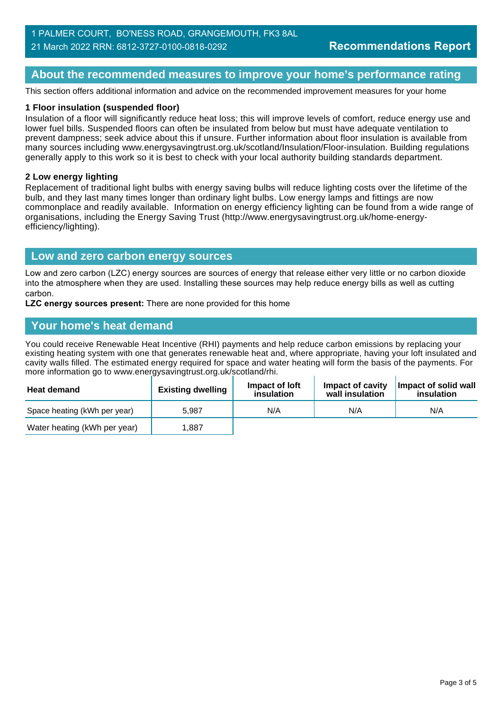#### **About the recommended measures to improve your home's performance rating**

This section offers additional information and advice on the recommended improvement measures for your home

#### **1 Floor insulation (suspended floor)**

Insulation of a floor will significantly reduce heat loss; this will improve levels of comfort, reduce energy use and lower fuel bills. Suspended floors can often be insulated from below but must have adequate ventilation to prevent dampness; seek advice about this if unsure. Further information about floor insulation is available from many sources including www.energysavingtrust.org.uk/scotland/Insulation/Floor-insulation. Building regulations generally apply to this work so it is best to check with your local authority building standards department.

#### **2 Low energy lighting**

Replacement of traditional light bulbs with energy saving bulbs will reduce lighting costs over the lifetime of the bulb, and they last many times longer than ordinary light bulbs. Low energy lamps and fittings are now commonplace and readily available. Information on energy efficiency lighting can be found from a wide range of organisations, including the Energy Saving Trust (http://www.energysavingtrust.org.uk/home-energyefficiency/lighting).

#### **Low and zero carbon energy sources**

Low and zero carbon (LZC) energy sources are sources of energy that release either very little or no carbon dioxide into the atmosphere when they are used. Installing these sources may help reduce energy bills as well as cutting carbon.

**LZC energy sources present:** There are none provided for this home

#### **Your home's heat demand**

You could receive Renewable Heat Incentive (RHI) payments and help reduce carbon emissions by replacing your existing heating system with one that generates renewable heat and, where appropriate, having your loft insulated and cavity walls filled. The estimated energy required for space and water heating will form the basis of the payments. For more information go to www.energysavingtrust.org.uk/scotland/rhi.

| <b>Heat demand</b>           | <b>Existing dwelling</b> | Impact of loft<br>insulation | Impact of cavity<br>wall insulation | Impact of solid wall<br>insulation |
|------------------------------|--------------------------|------------------------------|-------------------------------------|------------------------------------|
| Space heating (kWh per year) | 5.987                    | N/A                          | N/A                                 | N/A                                |
| Water heating (kWh per year) | .887                     |                              |                                     |                                    |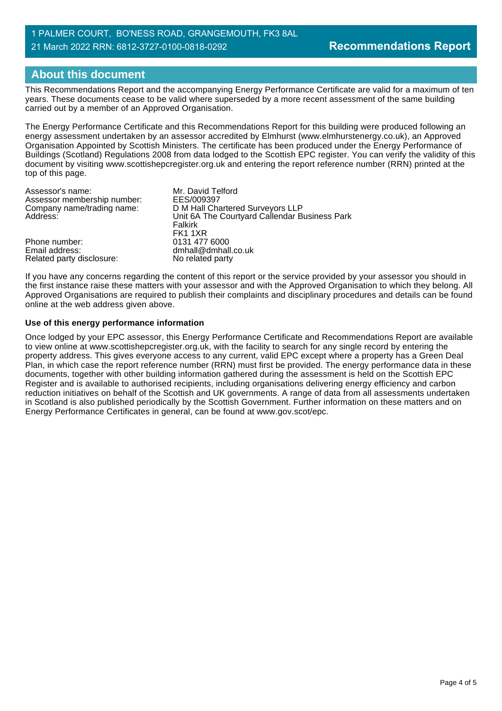#### 1 PALMER COURT, BO'NESS ROAD, GRANGEMOUTH, FK3 8AL 21 March 2022 RRN: 6812-3727-0100-0818-0292

## **About this document**

This Recommendations Report and the accompanying Energy Performance Certificate are valid for a maximum of ten years. These documents cease to be valid where superseded by a more recent assessment of the same building carried out by a member of an Approved Organisation.

The Energy Performance Certificate and this Recommendations Report for this building were produced following an energy assessment undertaken by an assessor accredited by Elmhurst (www.elmhurstenergy.co.uk), an Approved Organisation Appointed by Scottish Ministers. The certificate has been produced under the Energy Performance of Buildings (Scotland) Regulations 2008 from data lodged to the Scottish EPC register. You can verify the validity of this document by visiting www.scottishepcregister.org.uk and entering the report reference number (RRN) printed at the top of this page.

| Assessor's name:            | Mr. David Telford                             |
|-----------------------------|-----------------------------------------------|
| Assessor membership number: | EES/009397                                    |
| Company name/trading name:  | D M Hall Chartered Surveyors LLP              |
| Address:                    | Unit 6A The Courtyard Callendar Business Park |
|                             | Falkirk                                       |
|                             | FK1 1XR                                       |
| Phone number:               | 0131 477 6000                                 |
| Email address:              | dmhall@dmhall.co.uk                           |
| Related party disclosure:   | No related party                              |

If you have any concerns regarding the content of this report or the service provided by your assessor you should in the first instance raise these matters with your assessor and with the Approved Organisation to which they belong. All Approved Organisations are required to publish their complaints and disciplinary procedures and details can be found online at the web address given above.

#### **Use of this energy performance information**

Once lodged by your EPC assessor, this Energy Performance Certificate and Recommendations Report are available to view online at www.scottishepcregister.org.uk, with the facility to search for any single record by entering the property address. This gives everyone access to any current, valid EPC except where a property has a Green Deal Plan, in which case the report reference number (RRN) must first be provided. The energy performance data in these documents, together with other building information gathered during the assessment is held on the Scottish EPC Register and is available to authorised recipients, including organisations delivering energy efficiency and carbon reduction initiatives on behalf of the Scottish and UK governments. A range of data from all assessments undertaken in Scotland is also published periodically by the Scottish Government. Further information on these matters and on Energy Performance Certificates in general, can be found at www.gov.scot/epc.